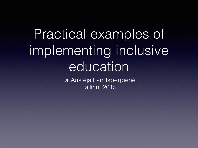#### Practical examples of implementing inclusive education

Dr.Austėja Landsbergienė Tallinn, 2015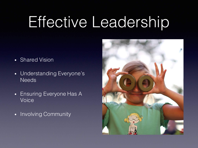## Effective Leadership

- Shared Vision
- Understanding Everyone's **Needs**
- Ensuring Everyone Has A Voice
- Involving Community

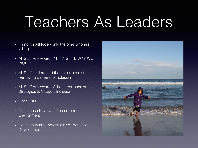### Teachers As Leaders

- Hiring for Attitude only the ones who are willing
- All Staff Are Aware "THIS IS THE WAY WE WORK"
- All Staff Understand the Importance of Removing Barriers to Inclusion
- All Staff Are Aware of the Importance of the Strategies to Support Inclusion
- Checklists
- Continuous Review of Classroom Environment
- Continuous and Individualised Professional Development

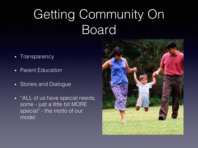#### Getting Community On Board

- Transparency
- Parent Education
- Stories and Dialogue
- "ALL of us have special needs, some - just a little bit MORE special" - the motto of our model

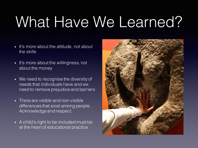# What Have We Learned?

- It's more about the attitude, not about the skills
- It's more about the willingness, not about the money
- We need to recognise the diversity of needs that individuals have and we need to remove prejudice and barriers
- There are visible and non-visible differences that exist among people. Acknowledge and respect.
- A child's right to be included must be at the heart of educational practice